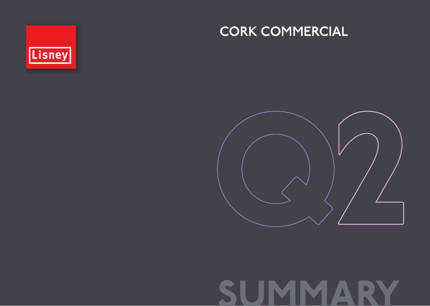

## CORK COMMERCIAL



# SUMMARY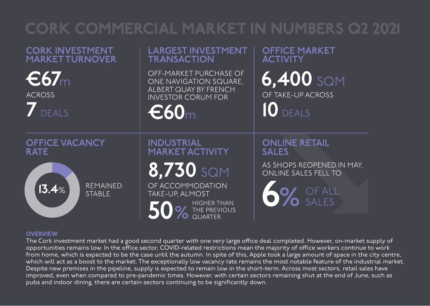# CORK COMMERCIAL MARKET IN NUMBERS Q2 2021

### CORK INVESTMENT MARKET TURNOVER

OFFICE VACANCY

€67<sup>m</sup> ACROSS

7 DEALS

RATE

## LARGEST INVESTMENT **TRANSACTION** OFF-MARKET PURCHASE OF ONE NAVIGATION SQUARE,

ALBERT QUAY BY FRENCH INVESTOR CORUM FOR

€60<sup>m</sup>

INDUSTRIAL

MARKET ACTIVITY

8,730 SQM

OFFICE MARKET **ACTIVITY** 

6,400 SQM OF TAKE-UP ACROSS 10 DEALS

ONLINE RETAIL SALES

6% OF ALL

AS SHOPS REOPENED IN MAY, ONLINE SALES FELL TO

SALES

REMAINED<br>STABI F

OF ACCOMMODATION TAKE-UP, ALMOST



THE PREVIOUS QUARTER

#### **OVERVIEW**

 $13.4%$ 

The Cork investment market had a good second quarter with one very large office deal completed. However, on-market supply of opportunities remains low. In the office sector, COVID-related restrictions mean the majority of office workers continue to work from home, which is expected to be the case until the autumn. In spite of this, Apple took a large amount of space in the city centre, which will act as a boost to the market. The exceptionally low vacancy rate remains the most notable feature of the industrial market. Despite new premises in the pipeline, supply is expected to remain low in the short-term. Across most sectors, retail sales have improved, even when compared to pre-pandemic times. However, with certain sectors remaining shut at the end of June, such as pubs and indoor dining, there are certain sectors continuing to be significantly down.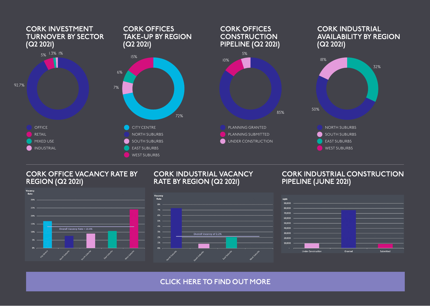

#### CORK OFFICE VACANCY RATE BY REGION (Q2 2021)



#### CORK INDUSTRIAL VACANCY RATE BY REGION (Q2 2021)

#### CORK INDUSTRIAL CONSTRUCTION PIPELINE (JUNE 2021)





[CLICK HERE TO FIND OUT MORE](https://lisney.com/advisory-valuations-and-research/q2-cork-commercial-2021/)